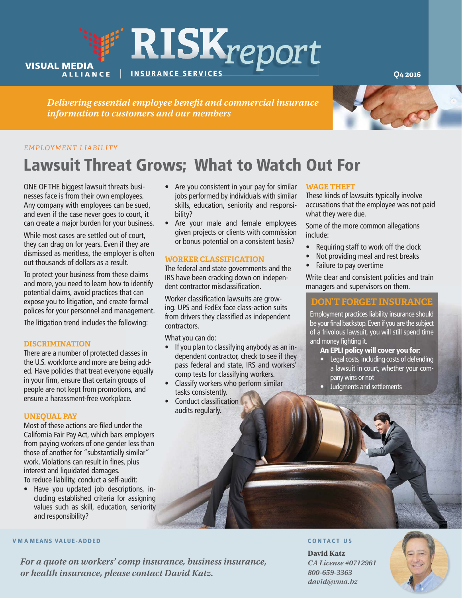

*Delivering essential employee benefi t and commercial insurance information to customers and our members*

# *EMPLOYMENT LIABILITY*

# Lawsuit Threat Grows; What to Watch Out For

ONE OF THE biggest lawsuit threats businesses face is from their own employees. Any company with employees can be sued, and even if the case never goes to court, it can create a major burden for your business.

While most cases are settled out of court, they can drag on for years. Even if they are dismissed as meritless, the employer is often out thousands of dollars as a result.

To protect your business from these claims and more, you need to learn how to identify potential claims, avoid practices that can expose you to litigation, and create formal polices for your personnel and management.

The litigation trend includes the following:

#### **DISCRIMINATION**

There are a number of protected classes in the U.S. workforce and more are being added. Have policies that treat everyone equally in your firm, ensure that certain groups of people are not kept from promotions, and ensure a harassment-free workplace.

#### **UNEQUAL PAY**

Most of these actions are filed under the California Fair Pay Act, which bars employers from paying workers of one gender less than those of another for "substantially similar" work. Violations can result in fines, plus interest and liquidated damages. To reduce liability, conduct a self-audit:

• Have you updated job descriptions, including established criteria for assigning values such as skill, education, seniority and responsibility?

#### V M A MEANS VALUE-ADDED CONTACT US

*For a quote on workers' comp insurance, business insurance, or health insurance, please contact David Katz.*

- Are you consistent in your pay for similar jobs performed by individuals with similar skills, education, seniority and responsibility?
- Are your male and female employees given projects or clients with commission or bonus potential on a consistent basis?

# **WORKER CLASSIFICATION**

The federal and state governments and the IRS have been cracking down on independent contractor misclassification.

Worker classification lawsuits are growing. UPS and FedEx face class-action suits from drivers they classified as independent contractors.

What you can do:

- If you plan to classifying anybody as an independent contractor, check to see if they pass federal and state, IRS and workers' comp tests for classifying workers.
- Classify workers who perform similar tasks consistently.
- Conduct classification audits regularly.

### **WAGE THEFT**

These kinds of lawsuits typically involve accusations that the employee was not paid what they were due.

Some of the more common allegations include:

- Requiring staff to work off the clock
- Not providing meal and rest breaks
- Failure to pay overtime

Write clear and consistent policies and train managers and supervisors on them.

### **WE FORGET INSUR**

Employment practices liability insurance should be your final backstop. Even if you are the subject of a frivolous lawsuit, you will still spend time and money fighting it.

# An EPLI policy will cover you for:

- Legal costs, including costs of defending a lawsuit in court, whether your company wins or not
- Judgments and settlements

**David Katz** *CA License #0712961 800-659-3363 david@vma.bz*

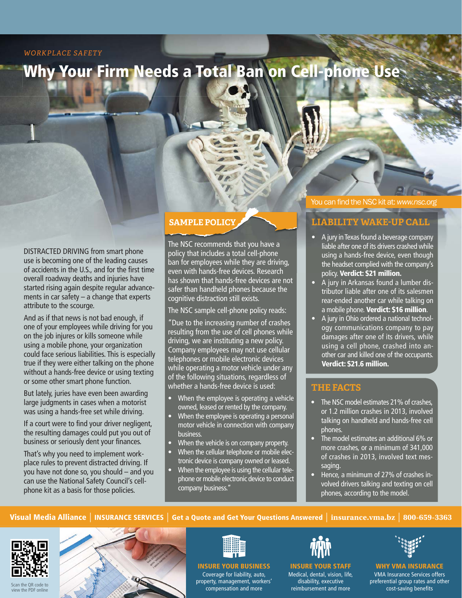# *WORKPLACE SAFETY*

# Why Your Firm Needs a Total Ban on Cell-phone Use

DISTRACTED DRIVING from smart phone use is becoming one of the leading causes of accidents in the U.S., and for the first time overall roadway deaths and injuries have started rising again despite regular advancements in car safety – a change that experts attribute to the scourge.

And as if that news is not bad enough, if one of your employees while driving for you on the job injures or kills someone while using a mobile phone, your organization could face serious liabilities. This is especially true if they were either talking on the phone without a hands-free device or using texting or some other smart phone function.

But lately, juries have even been awarding large judgments in cases when a motorist was using a hands-free set while driving.

If a court were to find your driver negligent, the resulting damages could put you out of business or seriously dent your finances.

That's why you need to implement workplace rules to prevent distracted driving. If you have not done so, you should – and you can use the National Safety Council's cellphone kit as a basis for those policies.

# **SAMPLE POLICY**

The NSC recommends that you have a policy that includes a total cell-phone ban for employees while they are driving, even with hands-free devices. Research has shown that hands-free devices are not safer than handheld phones because the cognitive distraction still exists.

The NSC sample cell-phone policy reads:

"Due to the increasing number of crashes resulting from the use of cell phones while driving, we are instituting a new policy. Company employees may not use cellular telephones or mobile electronic devices while operating a motor vehicle under any of the following situations, regardless of whether a hands-free device is used:

- When the employee is operating a vehicle owned, leased or rented by the company.
- When the employee is operating a personal motor vehicle in connection with company business.
- When the vehicle is on company property.
- When the cellular telephone or mobile electronic device is company owned or leased.
- When the employee is using the cellular telephone or mobile electronic device to conduct company business."

# You can find the NSC kit at: *www.nsc.org*

# **LIABILITY WAKE-UP CALL**

- A jury in Texas found a beverage company liable after one of its drivers crashed while using a hands-free device, even though the headset complied with the company's policy. Verdict: \$21 million.
- A jury in Arkansas found a lumber distributor liable after one of its salesmen rear-ended another car while talking on a mobile phone. Verdict: \$16 million.
- A jury in Ohio ordered a national technology communications company to pay damages after one of its drivers, while using a cell phone, crashed into another car and killed one of the occupants. Verdict: \$21.6 million.

# **THE FACTS**

- The NSC model estimates 21% of crashes. or 1.2 million crashes in 2013, involved talking on handheld and hands-free cell phones.
- The model estimates an additional 6% or more crashes, or a minimum of 341,000 of crashes in 2013, involved text messaging.
- Hence, a minimum of 27% of crashes involved drivers talking and texting on cell phones, according to the model.

# Visual Media Alliance | INSURANCE SERVICES | Get a Quote and Get Your Questions Answered | **insurance.vma.bz** | **800-659-3363**







INSURE YOUR BUSINESS Coverage for liability, auto, property, management, workers' compensation and more



INSURE YOUR STAFF

Medical, dental, vision, life, disability, executive reimbursement and more



# WHY VMA INSURANCE

VMA Insurance Services offers preferential group rates and other cost-saving benefits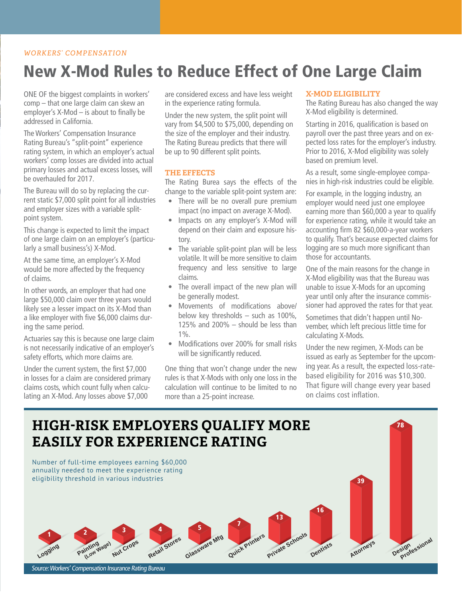### *WORKERS' COMPENSATION*

# New X-Mod Rules to Reduce Effect of One Large Claim

ONE OF the biggest complaints in workers' comp – that one large claim can skew an employer's X-Mod – is about to finally be addressed in California.

The Workers' Compensation Insurance Rating Bureau's "split-point" experience rating system, in which an employer's actual workers' comp losses are divided into actual primary losses and actual excess losses, will be overhauled for 2017.

The Bureau will do so by replacing the current static \$7,000 split point for all industries and employer sizes with a variable splitpoint system.

This change is expected to limit the impact of one large claim on an employer's (particularly a small business's) X-Mod.

At the same time, an employer's X-Mod would be more affected by the frequency of claims.

In other words, an employer that had one large \$50,000 claim over three years would likely see a lesser impact on its X-Mod than a like employer with five \$6,000 claims during the same period.

Actuaries say this is because one large claim is not necessarily indicative of an employer's safety efforts, which more claims are.

Under the current system, the first \$7,000 in losses for a claim are considered primary claims costs, which count fully when calculating an X-Mod. Any losses above \$7,000

are considered excess and have less weight in the experience rating formula.

Under the new system, the split point will vary from \$4,500 to \$75,000, depending on the size of the employer and their industry. The Rating Bureau predicts that there will be up to 90 different split points.

# **THE EFFECTS**

The Rating Burea says the effects of the change to the variable split-point system are:

- There will be no overall pure premium impact (no impact on average X-Mod).
- Impacts on any employer's X-Mod will depend on their claim and exposure history.
- The variable split-point plan will be less volatile. It will be more sensitive to claim frequency and less sensitive to large claims.
- The overall impact of the new plan will be generally modest.
- Movements of modifications above/ below key thresholds – such as 100%, 125% and 200% – should be less than  $1\%$ .
- Modifications over 200% for small risks will be significantly reduced.

One thing that won't change under the new rules is that X-Mods with only one loss in the calculation will continue to be limited to no more than a 25-point increase.

### **X-MOD ELIGIBILITY**

The Rating Bureau has also changed the way X-Mod eligibility is determined.

Starting in 2016, qualification is based on payroll over the past three years and on expected loss rates for the employer's industry. Prior to 2016, X-Mod eligibility was solely based on premium level.

As a result, some single-employee companies in high-risk industries could be eligible.

For example, in the logging industry, an employer would need just one employee earning more than \$60,000 a year to qualify for experience rating, while it would take an accounting firm 82 \$60,000-a-year workers to qualify. That's because expected claims for logging are so much more significant than those for accountants.

One of the main reasons for the change in X-Mod eligibility was that the Bureau was unable to issue X-Mods for an upcoming year until only after the insurance commissioner had approved the rates for that year.

Sometimes that didn't happen until November, which left precious little time for calculating X-Mods.

Under the new regimen, X-Mods can be issued as early as September for the upcoming year. As a result, the expected loss-ratebased eligibility for 2016 was \$10,300. That figure will change every year based on claims cost inflation.